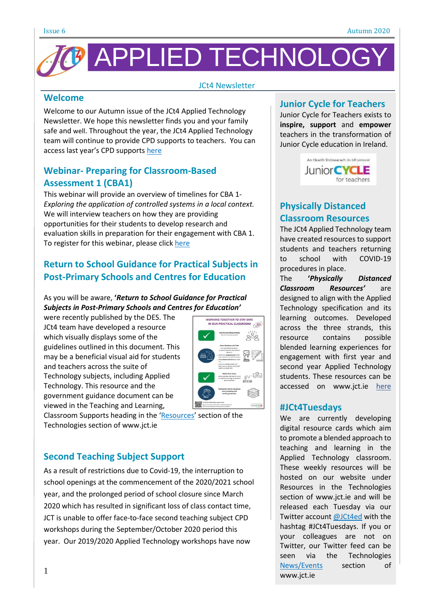

#### JCt4 Newsletter

### **Welcome**

Welcome to our Autumn issue of the JCt4 Applied Technology Newsletter. We hope this newsletter finds you and your family safe and well. Throughout the year, the JCt4 Applied Technology team will continue to provide CPD supports to teachers. You can access last year's CPD supports [here](https://www.jct.ie/technologies/cpd_supports_applied_technology_cpd_workshops_2019_2020)

# **Webinar- Preparing for Classroom-Based Assessment 1 (CBA1)**

This webinar will provide an overview of timelines for CBA 1- *Exploring the application of controlled systems in a local context.* We will interview teachers on how they are providing opportunities for their students to develop research and evaluation skills in preparation for their engagement with CBA 1. To register for this webinar, please click [here](https://attendee.gotowebinar.com/register/7381029663659972880)

# **Return to School Guidance for Practical Subjects in Post-Primary Schools and Centres for Education**

#### As you will be aware, **'***Return to School Guidance for Practical Subjects in Post-Primary Schools and Centres for Education'*

were recently published by the DES. The JCt4 team have developed a resource which visually displays some of the guidelines outlined in this document. This may be a beneficial visual aid for students and teachers across the suite of Technology subjects, including Applied Technology. This resource and the government guidance document can be viewed in the Teaching and Learning,



Classroom Supports heading in the '[Resources](https://www.jct.ie/technologies/resources_applied_technology)' section of the Technologies section of [www.jct.ie](https://jct.ie/technologies/resources_applied_technology)

## **Second Teaching Subject Support**

As a result of restrictions due to Covid-19, the interruption to school openings at the commencement of the 2020/2021 school year, and the prolonged period of school closure since March 2020 which has resulted in significant loss of class contact time, JCT is unable to offer face-to-face second teaching subject CPD workshops during the September/October 2020 period this year. Our 2019/2020 Applied Technology workshops have now

#### **Junior Cycle for Teachers**

Junior Cycle for Teachers exists to **inspire, support** and **empower** teachers in the transformation of Junior Cycle education in Ireland.



## **Physically Distanced Classroom Resources**

The JCt4 Applied Technology team have created resources to support students and teachers returning to school with COVID-19 procedures in place.

The **'***Physically Distanced Classroom Resources'* are designed to align with the Applied Technology specification and its learning outcomes. Developed across the three strands, this resource contains possible blended learning experiences for engagement with first year and second year Applied Technology students. These resources can be accessed on www.jct.ie [here](https://www.jct.ie/technologies/resources_applied_technology)

#### **#JCt4Tuesdays**

We are currently developing digital resource cards which aim to promote a blended approach to teaching and learning in the Applied Technology classroom. These weekly resources will be hosted on our website under Resources in the Technologies section of www.jct.ie and will be released each Tuesday via our Twitter account [@JCt4ed](https://twitter.com/jct4ed?lang=en) with the hashtag #JCt4Tuesdays. If you or your colleagues are not on Twitter, our Twitter feed can be seen via the Technologies [News/Events](https://www.jct.ie/technologies/news_events) section of www.jct.ie